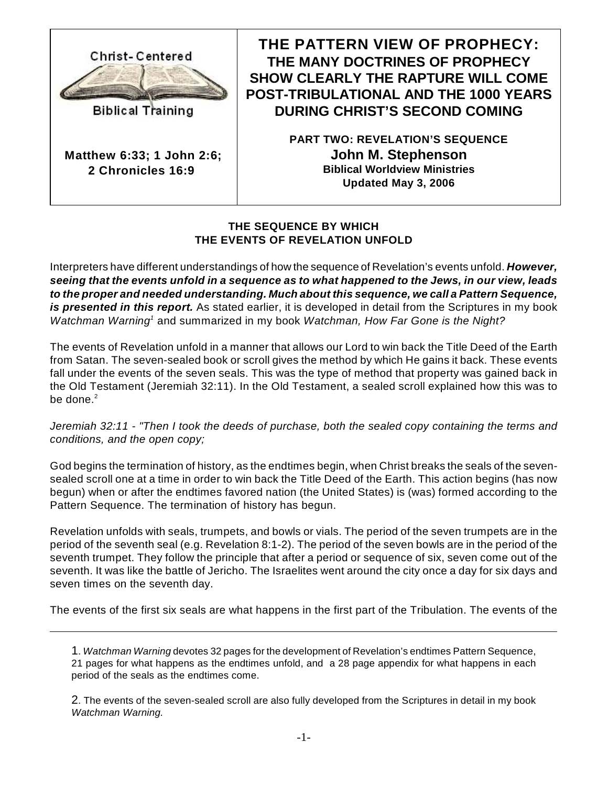

**Biblical Training** 

**Matthew 6:33; 1 John 2:6; 2 Chronicles 16:9** 

**THE PATTERN VIEW OF PROPHECY: THE MANY DOCTRINES OF PROPHECY SHOW CLEARLY THE RAPTURE WILL COME POST-TRIBULATIONAL AND THE 1000 YEARS DURING CHRIST'S SECOND COMING**

> **PART TWO: REVELATION'S SEQUENCE John M. Stephenson Biblical Worldview Ministries Updated May 3, 2006**

## **THE SEQUENCE BY WHICH THE EVENTS OF REVELATION UNFOLD**

Interpreters have different understandings of how the sequence of Revelation's events unfold. *However, seeing that the events unfold in a sequence as to what happened to the Jews, in our view, leads to the proper and needed understanding. Much about this sequence, we call a Pattern Sequence, is presented in this report.* As stated earlier, it is developed in detail from the Scriptures in my book *Watchman Warning*<sup>1</sup> and summarized in my book *Watchman, How Far Gone is the Night?* 

The events of Revelation unfold in a manner that allows our Lord to win back the Title Deed of the Earth from Satan. The seven-sealed book or scroll gives the method by which He gains it back. These events fall under the events of the seven seals. This was the type of method that property was gained back in the Old Testament (Jeremiah 32:11). In the Old Testament, a sealed scroll explained how this was to be done. $2$ 

*Jeremiah 32:11 - "Then I took the deeds of purchase, both the sealed copy containing the terms and conditions, and the open copy;*

God begins the termination of history, as the endtimes begin, when Christ breaks the seals of the sevensealed scroll one at a time in order to win back the Title Deed of the Earth. This action begins (has now begun) when or after the endtimes favored nation (the United States) is (was) formed according to the Pattern Sequence. The termination of history has begun.

Revelation unfolds with seals, trumpets, and bowls or vials. The period of the seven trumpets are in the period of the seventh seal (e.g. Revelation 8:1-2). The period of the seven bowls are in the period of the seventh trumpet. They follow the principle that after a period or sequence of six, seven come out of the seventh. It was like the battle of Jericho. The Israelites went around the city once a day for six days and seven times on the seventh day.

The events of the first six seals are what happens in the first part of the Tribulation. The events of the

<sup>1</sup>. *Watchman Warning* devotes 32 pages for the development of Revelation's endtimes Pattern Sequence, 21 pages for what happens as the endtimes unfold, and a 28 page appendix for what happens in each period of the seals as the endtimes come.

<sup>2</sup>. The events of the seven-sealed scroll are also fully developed from the Scriptures in detail in my book *Watchman Warning.*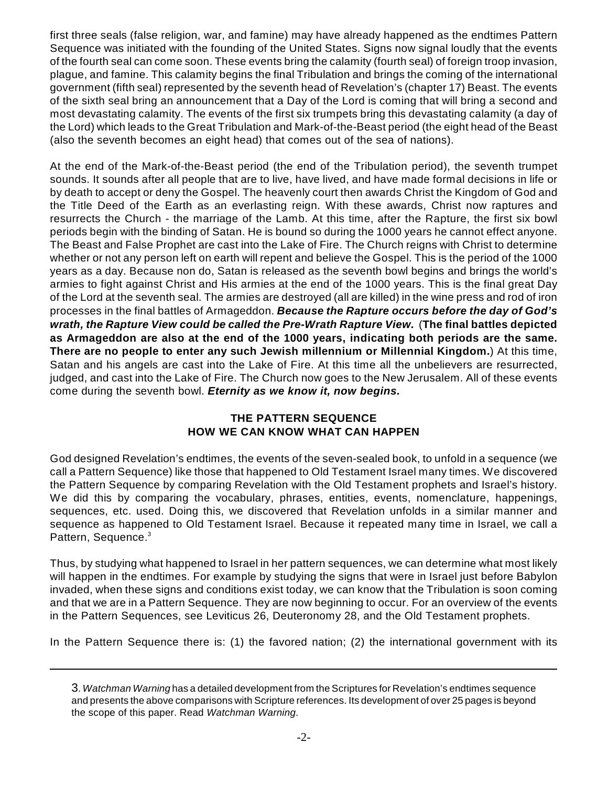first three seals (false religion, war, and famine) may have already happened as the endtimes Pattern Sequence was initiated with the founding of the United States. Signs now signal loudly that the events of the fourth seal can come soon. These events bring the calamity (fourth seal) of foreign troop invasion, plague, and famine. This calamity begins the final Tribulation and brings the coming of the international government (fifth seal) represented by the seventh head of Revelation's (chapter 17) Beast. The events of the sixth seal bring an announcement that a Day of the Lord is coming that will bring a second and most devastating calamity. The events of the first six trumpets bring this devastating calamity (a day of the Lord) which leads to the Great Tribulation and Mark-of-the-Beast period (the eight head of the Beast (also the seventh becomes an eight head) that comes out of the sea of nations).

At the end of the Mark-of-the-Beast period (the end of the Tribulation period), the seventh trumpet sounds. It sounds after all people that are to live, have lived, and have made formal decisions in life or by death to accept or deny the Gospel. The heavenly court then awards Christ the Kingdom of God and the Title Deed of the Earth as an everlasting reign. With these awards, Christ now raptures and resurrects the Church - the marriage of the Lamb. At this time, after the Rapture, the first six bowl periods begin with the binding of Satan. He is bound so during the 1000 years he cannot effect anyone. The Beast and False Prophet are cast into the Lake of Fire. The Church reigns with Christ to determine whether or not any person left on earth will repent and believe the Gospel. This is the period of the 1000 years as a day. Because non do, Satan is released as the seventh bowl begins and brings the world's armies to fight against Christ and His armies at the end of the 1000 years. This is the final great Day of the Lord at the seventh seal. The armies are destroyed (all are killed) in the wine press and rod of iron processes in the final battles of Armageddon. *Because the Rapture occurs before the day of God's wrath, the Rapture View could be called the Pre-Wrath Rapture View.* (**The final battles depicted as Armageddon are also at the end of the 1000 years, indicating both periods are the same. There are no people to enter any such Jewish millennium or Millennial Kingdom.**) At this time, Satan and his angels are cast into the Lake of Fire. At this time all the unbelievers are resurrected, judged, and cast into the Lake of Fire. The Church now goes to the New Jerusalem. All of these events come during the seventh bowl. *Eternity as we know it, now begins.*

## **THE PATTERN SEQUENCE HOW WE CAN KNOW WHAT CAN HAPPEN**

God designed Revelation's endtimes, the events of the seven-sealed book, to unfold in a sequence (we call a Pattern Sequence) like those that happened to Old Testament Israel many times. We discovered the Pattern Sequence by comparing Revelation with the Old Testament prophets and Israel's history. We did this by comparing the vocabulary, phrases, entities, events, nomenclature, happenings, sequences, etc. used. Doing this, we discovered that Revelation unfolds in a similar manner and sequence as happened to Old Testament Israel. Because it repeated many time in Israel, we call a Pattern, Sequence.<sup>3</sup>

Thus, by studying what happened to Israel in her pattern sequences, we can determine what most likely will happen in the endtimes. For example by studying the signs that were in Israel just before Babylon invaded, when these signs and conditions exist today, we can know that the Tribulation is soon coming and that we are in a Pattern Sequence. They are now beginning to occur. For an overview of the events in the Pattern Sequences, see Leviticus 26, Deuteronomy 28, and the Old Testament prophets.

In the Pattern Sequence there is: (1) the favored nation; (2) the international government with its

<sup>3</sup>. *Watchman Warning* has a detailed development from the Scriptures for Revelation's endtimes sequence and presents the above comparisons with Scripture references. Its development of over 25 pages is beyond the scope of this paper. Read *Watchman Warning*.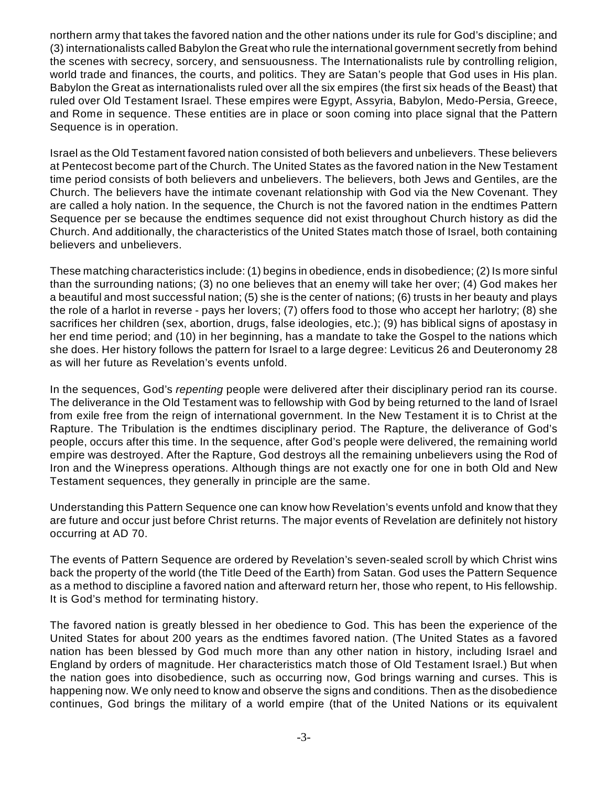northern army that takes the favored nation and the other nations under its rule for God's discipline; and (3) internationalists called Babylon the Great who rule the international government secretly from behind the scenes with secrecy, sorcery, and sensuousness. The Internationalists rule by controlling religion, world trade and finances, the courts, and politics. They are Satan's people that God uses in His plan. Babylon the Great as internationalists ruled over all the six empires (the first six heads of the Beast) that ruled over Old Testament Israel. These empires were Egypt, Assyria, Babylon, Medo-Persia, Greece, and Rome in sequence. These entities are in place or soon coming into place signal that the Pattern Sequence is in operation.

Israel as the Old Testament favored nation consisted of both believers and unbelievers. These believers at Pentecost become part of the Church. The United States as the favored nation in the New Testament time period consists of both believers and unbelievers. The believers, both Jews and Gentiles, are the Church. The believers have the intimate covenant relationship with God via the New Covenant. They are called a holy nation. In the sequence, the Church is not the favored nation in the endtimes Pattern Sequence per se because the endtimes sequence did not exist throughout Church history as did the Church. And additionally, the characteristics of the United States match those of Israel, both containing believers and unbelievers.

These matching characteristics include: (1) begins in obedience, ends in disobedience; (2) Is more sinful than the surrounding nations; (3) no one believes that an enemy will take her over; (4) God makes her a beautiful and most successful nation; (5) she is the center of nations; (6) trusts in her beauty and plays the role of a harlot in reverse - pays her lovers; (7) offers food to those who accept her harlotry; (8) she sacrifices her children (sex, abortion, drugs, false ideologies, etc.); (9) has biblical signs of apostasy in her end time period; and (10) in her beginning, has a mandate to take the Gospel to the nations which she does. Her history follows the pattern for Israel to a large degree: Leviticus 26 and Deuteronomy 28 as will her future as Revelation's events unfold.

In the sequences, God's *repenting* people were delivered after their disciplinary period ran its course. The deliverance in the Old Testament was to fellowship with God by being returned to the land of Israel from exile free from the reign of international government. In the New Testament it is to Christ at the Rapture. The Tribulation is the endtimes disciplinary period. The Rapture, the deliverance of God's people, occurs after this time. In the sequence, after God's people were delivered, the remaining world empire was destroyed. After the Rapture, God destroys all the remaining unbelievers using the Rod of Iron and the Winepress operations. Although things are not exactly one for one in both Old and New Testament sequences, they generally in principle are the same.

Understanding this Pattern Sequence one can know how Revelation's events unfold and know that they are future and occur just before Christ returns. The major events of Revelation are definitely not history occurring at AD 70.

The events of Pattern Sequence are ordered by Revelation's seven-sealed scroll by which Christ wins back the property of the world (the Title Deed of the Earth) from Satan. God uses the Pattern Sequence as a method to discipline a favored nation and afterward return her, those who repent, to His fellowship. It is God's method for terminating history.

The favored nation is greatly blessed in her obedience to God. This has been the experience of the United States for about 200 years as the endtimes favored nation. (The United States as a favored nation has been blessed by God much more than any other nation in history, including Israel and England by orders of magnitude. Her characteristics match those of Old Testament Israel.) But when the nation goes into disobedience, such as occurring now, God brings warning and curses. This is happening now. We only need to know and observe the signs and conditions. Then as the disobedience continues, God brings the military of a world empire (that of the United Nations or its equivalent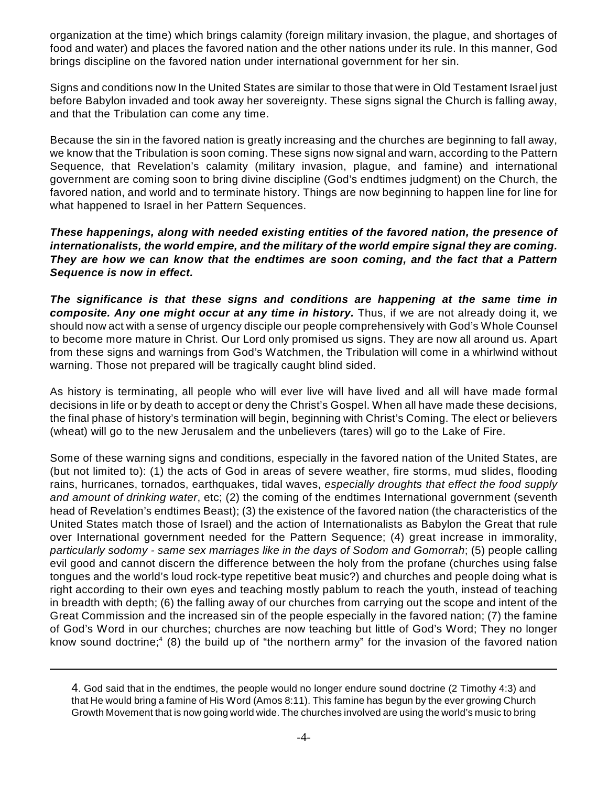organization at the time) which brings calamity (foreign military invasion, the plague, and shortages of food and water) and places the favored nation and the other nations under its rule. In this manner, God brings discipline on the favored nation under international government for her sin.

Signs and conditions now In the United States are similar to those that were in Old Testament Israel just before Babylon invaded and took away her sovereignty. These signs signal the Church is falling away, and that the Tribulation can come any time.

Because the sin in the favored nation is greatly increasing and the churches are beginning to fall away, we know that the Tribulation is soon coming. These signs now signal and warn, according to the Pattern Sequence, that Revelation's calamity (military invasion, plague, and famine) and international government are coming soon to bring divine discipline (God's endtimes judgment) on the Church, the favored nation, and world and to terminate history. Things are now beginning to happen line for line for what happened to Israel in her Pattern Sequences.

*These happenings, along with needed existing entities of the favored nation, the presence of internationalists, the world empire, and the military of the world empire signal they are coming. They are how we can know that the endtimes are soon coming, and the fact that a Pattern Sequence is now in effect.* 

*The significance is that these signs and conditions are happening at the same time in composite. Any one might occur at any time in history.* Thus, if we are not already doing it, we should now act with a sense of urgency disciple our people comprehensively with God's Whole Counsel to become more mature in Christ. Our Lord only promised us signs. They are now all around us. Apart from these signs and warnings from God's Watchmen, the Tribulation will come in a whirlwind without warning. Those not prepared will be tragically caught blind sided.

As history is terminating, all people who will ever live will have lived and all will have made formal decisions in life or by death to accept or deny the Christ's Gospel. When all have made these decisions, the final phase of history's termination will begin, beginning with Christ's Coming. The elect or believers (wheat) will go to the new Jerusalem and the unbelievers (tares) will go to the Lake of Fire.

Some of these warning signs and conditions, especially in the favored nation of the United States, are (but not limited to): (1) the acts of God in areas of severe weather, fire storms, mud slides, flooding rains, hurricanes, tornados, earthquakes, tidal waves, *especially droughts that effect the food supply and amount of drinking water*, etc; (2) the coming of the endtimes International government (seventh head of Revelation's endtimes Beast); (3) the existence of the favored nation (the characteristics of the United States match those of Israel) and the action of Internationalists as Babylon the Great that rule over International government needed for the Pattern Sequence; (4) great increase in immorality, *particularly sodomy - same sex marriages like in the days of Sodom and Gomorrah*; (5) people calling evil good and cannot discern the difference between the holy from the profane (churches using false tongues and the world's loud rock-type repetitive beat music?) and churches and people doing what is right according to their own eyes and teaching mostly pablum to reach the youth, instead of teaching in breadth with depth; (6) the falling away of our churches from carrying out the scope and intent of the Great Commission and the increased sin of the people especially in the favored nation; (7) the famine of God's Word in our churches; churches are now teaching but little of God's Word; They no longer know sound doctrine;<sup>4</sup> (8) the build up of "the northern army" for the invasion of the favored nation

<sup>4</sup>. God said that in the endtimes, the people would no longer endure sound doctrine (2 Timothy 4:3) and that He would bring a famine of His Word (Amos 8:11). This famine has begun by the ever growing Church Growth Movement that is now going world wide. The churches involved are using the world's music to bring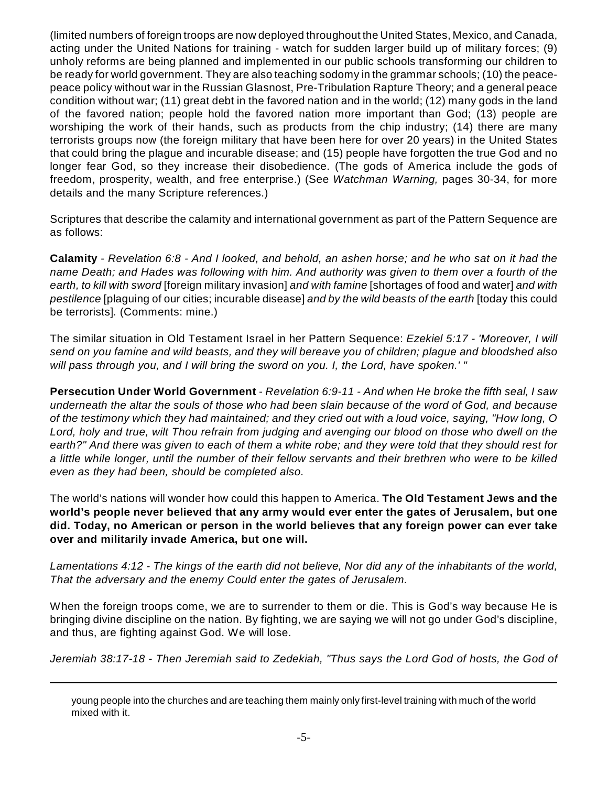(limited numbers of foreign troops are now deployed throughout the United States, Mexico, and Canada, acting under the United Nations for training - watch for sudden larger build up of military forces; (9) unholy reforms are being planned and implemented in our public schools transforming our children to be ready for world government. They are also teaching sodomy in the grammar schools; (10) the peacepeace policy without war in the Russian Glasnost, Pre-Tribulation Rapture Theory; and a general peace condition without war; (11) great debt in the favored nation and in the world; (12) many gods in the land of the favored nation; people hold the favored nation more important than God; (13) people are worshiping the work of their hands, such as products from the chip industry; (14) there are many terrorists groups now (the foreign military that have been here for over 20 years) in the United States that could bring the plague and incurable disease; and (15) people have forgotten the true God and no longer fear God, so they increase their disobedience. (The gods of America include the gods of freedom, prosperity, wealth, and free enterprise.) (See *Watchman Warning,* pages 30-34, for more details and the many Scripture references.)

Scriptures that describe the calamity and international government as part of the Pattern Sequence are as follows:

**Calamity** - *Revelation 6:8 - And I looked, and behold, an ashen horse; and he who sat on it had the name Death; and Hades was following with him. And authority was given to them over a fourth of the earth, to kill with sword* [foreign military invasion] *and with famine* [shortages of food and water] *and with pestilence* [plaguing of our cities; incurable disease] *and by the wild beasts of the earth* [today this could be terrorists]*.* (Comments: mine.)

The similar situation in Old Testament Israel in her Pattern Sequence: *Ezekiel 5:17 - 'Moreover, I will send on you famine and wild beasts, and they will bereave you of children; plague and bloodshed also will pass through you, and I will bring the sword on you. I, the Lord, have spoken.' "*

**Persecution Under World Government** - *Revelation 6:9-11 - And when He broke the fifth seal, I saw underneath the altar the souls of those who had been slain because of the word of God, and because of the testimony which they had maintained; and they cried out with a loud voice, saying, "How long, O Lord, holy and true, wilt Thou refrain from judging and avenging our blood on those who dwell on the earth?" And there was given to each of them a white robe; and they were told that they should rest for a little while longer, until the number of their fellow servants and their brethren who were to be killed even as they had been, should be completed also.*

The world's nations will wonder how could this happen to America. **The Old Testament Jews and the world's people never believed that any army would ever enter the gates of Jerusalem, but one did. Today, no American or person in the world believes that any foreign power can ever take over and militarily invade America, but one will.**

*Lamentations 4:12 - The kings of the earth did not believe, Nor did any of the inhabitants of the world, That the adversary and the enemy Could enter the gates of Jerusalem.*

When the foreign troops come, we are to surrender to them or die. This is God's way because He is bringing divine discipline on the nation. By fighting, we are saying we will not go under God's discipline, and thus, are fighting against God. We will lose.

*Jeremiah 38:17-18 - Then Jeremiah said to Zedekiah, "Thus says the Lord God of hosts, the God of*

young people into the churches and are teaching them mainly only first-level training with much of the world mixed with it.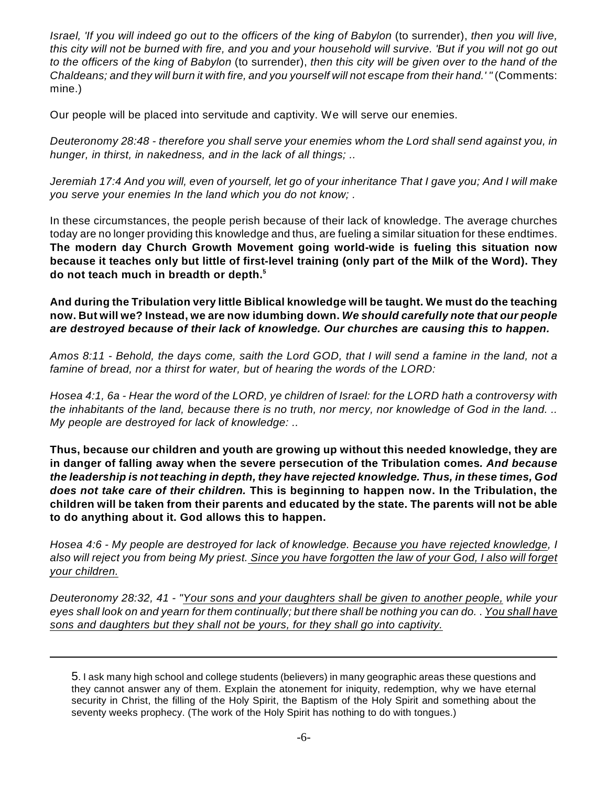*Israel, 'If you will indeed go out to the officers of the king of Babylon (to surrender), then you will live, this city will not be burned with fire, and you and your household will survive. 'But if you will not go out to the officers of the king of Babylon* (to surrender), *then this city will be given over to the hand of the Chaldeans; and they will burn it with fire, and you yourself will not escape from their hand.' "* (Comments: mine.)

Our people will be placed into servitude and captivity. We will serve our enemies.

*Deuteronomy 28:48 - therefore you shall serve your enemies whom the Lord shall send against you, in hunger, in thirst, in nakedness, and in the lack of all things; ..*

*Jeremiah 17:4 And you will, even of yourself, let go of your inheritance That I gave you; And I will make you serve your enemies In the land which you do not know; .* 

In these circumstances, the people perish because of their lack of knowledge. The average churches today are no longer providing this knowledge and thus, are fueling a similar situation for these endtimes. **The modern day Church Growth Movement going world-wide is fueling this situation now because it teaches only but little of first-level training (only part of the Milk of the Word). They do not teach much in breadth or depth.<sup>5</sup>**

**And during the Tribulation very little Biblical knowledge will be taught. We must do the teaching now. But will we? Instead, we are now idumbing down.** *We should carefully note that our people are destroyed because of their lack of knowledge. Our churches are causing this to happen.*

*Amos 8:11 - Behold, the days come, saith the Lord GOD, that I will send a famine in the land, not a famine of bread, nor a thirst for water, but of hearing the words of the LORD:*

*Hosea 4:1, 6a - Hear the word of the LORD, ye children of Israel: for the LORD hath a controversy with the inhabitants of the land, because there is no truth, nor mercy, nor knowledge of God in the land. .. My people are destroyed for lack of knowledge: ..*

**Thus, because our children and youth are growing up without this needed knowledge, they are in danger of falling away when the severe persecution of the Tribulation comes***. And because the leadership is not teaching in depth, they have rejected knowledge. Thus, in these times, God does not take care of their children.* **This is beginning to happen now. In the Tribulation, the children will be taken from their parents and educated by the state. The parents will not be able to do anything about it. God allows this to happen.**

*Hosea 4:6 - My people are destroyed for lack of knowledge. Because you have rejected knowledge, I also will reject you from being My priest. Since you have forgotten the law of your God, I also will forget your children.*

*Deuteronomy 28:32, 41 - "Your sons and your daughters shall be given to another people, while your eyes shall look on and yearn for them continually; but there shall be nothing you can do.* . *You shall have sons and daughters but they shall not be yours, for they shall go into captivity.*

<sup>5</sup>. I ask many high school and college students (believers) in many geographic areas these questions and they cannot answer any of them. Explain the atonement for iniquity, redemption, why we have eternal security in Christ, the filling of the Holy Spirit, the Baptism of the Holy Spirit and something about the seventy weeks prophecy. (The work of the Holy Spirit has nothing to do with tongues.)